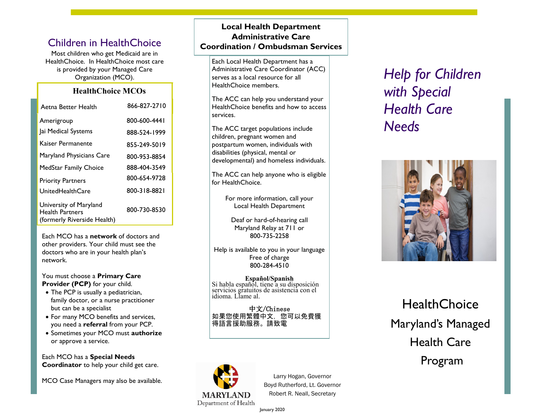Most children who get Medicaid are in HealthChoice. In HealthChoice most care is provided by your Managed Care Organization (MCO).

## **HealthChoice MCOs**

| Aetna Better Health                                                             | 866-827-2710 |
|---------------------------------------------------------------------------------|--------------|
| Amerigroup                                                                      | 800-600-4441 |
| Jai Medical Systems                                                             | 888-524-1999 |
| Kaiser Permanente                                                               | 855-249-5019 |
| Maryland Physicians Care                                                        | 800-953-8854 |
| MedStar Family Choice                                                           | 888-404-3549 |
| <b>Priority Partners</b>                                                        | 800-654-9728 |
| UnitedHealthCare                                                                | 800-318-8821 |
| University of Maryland<br><b>Health Partners</b><br>(formerly Riverside Health) | 800-730-8530 |

Each MCO has a **network** of doctors and other providers. Your child must see the doctors who are in your health plan's network.

You must choose a **Primary Care Provider (PCP)** for your child.

- The PCP is usually a pediatrician, family doctor, or a nurse practitioner but can be a specialist
- For many MCO benefits and services, you need a **referral** from your PCP.
- Sometimes your MCO must **authorize** or approve a service.

Each MCO has a **Special Needs Coordinator** to help your child get care.

MCO Case Managers may also be available.

# **Local Health Department Administrative Care 19 Coordination / Ombudsman Services**

Each Local Health Department has a Administrative Care Coordinator (ACC) serves as a local resource for all HealthChoice members.

The ACC can help you understand your HealthChoice benefits and how to access services.

The ACC target populations include children, pregnant women and postpartum women, individuals with disabilities (physical, mental or developmental) and homeless individuals.

The ACC can help anyone who is eligible for HealthChoice.

> For more information, call your Local Health Department

Deaf or hard-of-hearing call Maryland Relay at 711 or 800-735-2258

Help is available to you in your language Free of charge 800-284-4510

**Español/Spanish** Si habla español, tiene a su disposición servicios gratuitos de asistencia con el idioma. Llame al.

中文/Chinese 如果您使用繁體中文,您可以免費獲 得語言援助服務。請致電



Larry Hogan, Governor Boyd Rutherford, Lt. Governor Robert R. Neall, Secretary

*Help for Children with Special Health Care Needs* 



**HealthChoice** Maryland's Managed Health Care Program

January 2020